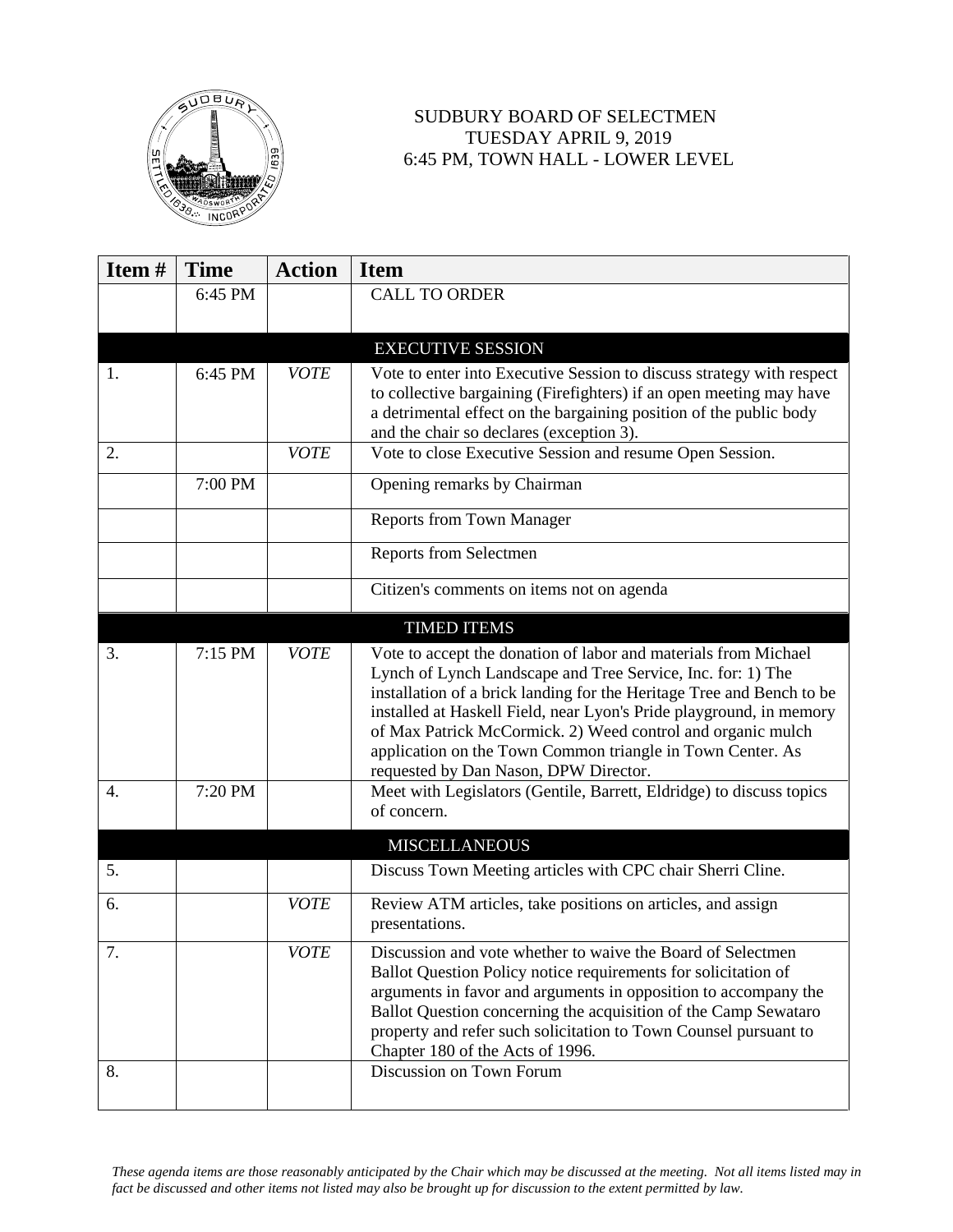

## SUDBURY BOARD OF SELECTMEN TUESDAY APRIL 9, 2019 6:45 PM, TOWN HALL - LOWER LEVEL

| Item# | <b>Time</b> | <b>Action</b> | <b>Item</b>                                                                                                                                                                                                                                                                                                                                                                                                                                          |
|-------|-------------|---------------|------------------------------------------------------------------------------------------------------------------------------------------------------------------------------------------------------------------------------------------------------------------------------------------------------------------------------------------------------------------------------------------------------------------------------------------------------|
|       | 6:45 PM     |               | <b>CALL TO ORDER</b>                                                                                                                                                                                                                                                                                                                                                                                                                                 |
|       |             |               |                                                                                                                                                                                                                                                                                                                                                                                                                                                      |
|       |             |               | <b>EXECUTIVE SESSION</b>                                                                                                                                                                                                                                                                                                                                                                                                                             |
| 1.    | 6:45 PM     | <b>VOTE</b>   | Vote to enter into Executive Session to discuss strategy with respect                                                                                                                                                                                                                                                                                                                                                                                |
|       |             |               | to collective bargaining (Firefighters) if an open meeting may have<br>a detrimental effect on the bargaining position of the public body<br>and the chair so declares (exception 3).                                                                                                                                                                                                                                                                |
| 2.    |             | <b>VOTE</b>   | Vote to close Executive Session and resume Open Session.                                                                                                                                                                                                                                                                                                                                                                                             |
|       | 7:00 PM     |               | Opening remarks by Chairman                                                                                                                                                                                                                                                                                                                                                                                                                          |
|       |             |               | <b>Reports from Town Manager</b>                                                                                                                                                                                                                                                                                                                                                                                                                     |
|       |             |               | Reports from Selectmen                                                                                                                                                                                                                                                                                                                                                                                                                               |
|       |             |               | Citizen's comments on items not on agenda                                                                                                                                                                                                                                                                                                                                                                                                            |
|       |             |               | <b>TIMED ITEMS</b>                                                                                                                                                                                                                                                                                                                                                                                                                                   |
| 3.    | 7:15 PM     | <b>VOTE</b>   | Vote to accept the donation of labor and materials from Michael<br>Lynch of Lynch Landscape and Tree Service, Inc. for: 1) The<br>installation of a brick landing for the Heritage Tree and Bench to be<br>installed at Haskell Field, near Lyon's Pride playground, in memory<br>of Max Patrick McCormick. 2) Weed control and organic mulch<br>application on the Town Common triangle in Town Center. As<br>requested by Dan Nason, DPW Director. |
| 4.    | 7:20 PM     |               | Meet with Legislators (Gentile, Barrett, Eldridge) to discuss topics<br>of concern.                                                                                                                                                                                                                                                                                                                                                                  |
|       |             |               | <b>MISCELLANEOUS</b>                                                                                                                                                                                                                                                                                                                                                                                                                                 |
| 5.    |             |               | Discuss Town Meeting articles with CPC chair Sherri Cline.                                                                                                                                                                                                                                                                                                                                                                                           |
| 6.    |             | <b>VOTE</b>   | Review ATM articles, take positions on articles, and assign<br>presentations.                                                                                                                                                                                                                                                                                                                                                                        |
| 7.    |             | <b>VOTE</b>   | Discussion and vote whether to waive the Board of Selectmen<br>Ballot Question Policy notice requirements for solicitation of<br>arguments in favor and arguments in opposition to accompany the<br>Ballot Question concerning the acquisition of the Camp Sewataro<br>property and refer such solicitation to Town Counsel pursuant to<br>Chapter 180 of the Acts of 1996.                                                                          |
| 8.    |             |               | Discussion on Town Forum                                                                                                                                                                                                                                                                                                                                                                                                                             |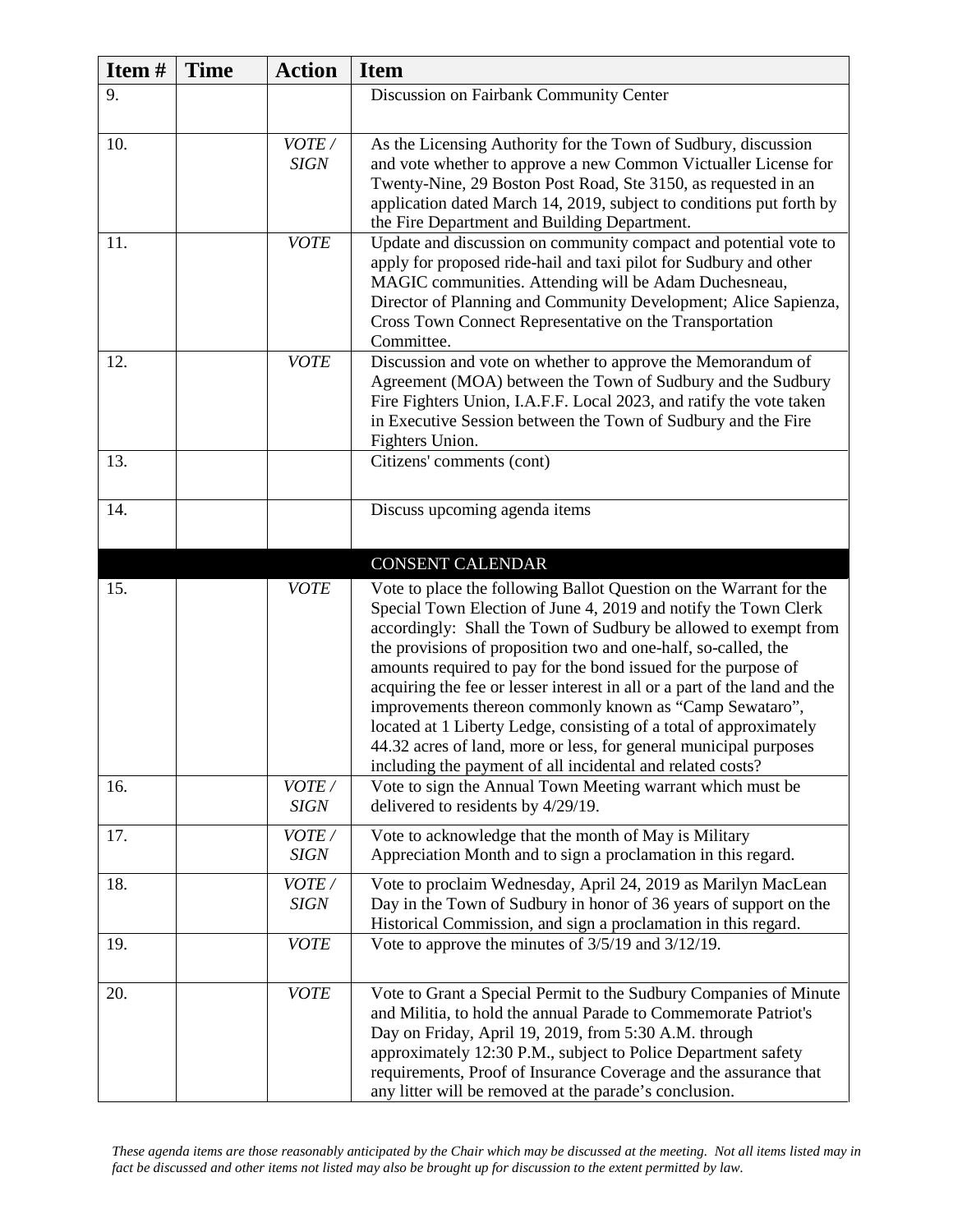| Item# | <b>Time</b> | <b>Action</b>        | <b>Item</b>                                                                                                                                                                                                                                                                                                                                                                                                                                                                                                                                                                                                                                                                                    |
|-------|-------------|----------------------|------------------------------------------------------------------------------------------------------------------------------------------------------------------------------------------------------------------------------------------------------------------------------------------------------------------------------------------------------------------------------------------------------------------------------------------------------------------------------------------------------------------------------------------------------------------------------------------------------------------------------------------------------------------------------------------------|
| 9.    |             |                      | Discussion on Fairbank Community Center                                                                                                                                                                                                                                                                                                                                                                                                                                                                                                                                                                                                                                                        |
| 10.   |             | VOTE/<br><b>SIGN</b> | As the Licensing Authority for the Town of Sudbury, discussion<br>and vote whether to approve a new Common Victualler License for<br>Twenty-Nine, 29 Boston Post Road, Ste 3150, as requested in an<br>application dated March 14, 2019, subject to conditions put forth by<br>the Fire Department and Building Department.                                                                                                                                                                                                                                                                                                                                                                    |
| 11.   |             | <b>VOTE</b>          | Update and discussion on community compact and potential vote to<br>apply for proposed ride-hail and taxi pilot for Sudbury and other<br>MAGIC communities. Attending will be Adam Duchesneau,<br>Director of Planning and Community Development; Alice Sapienza,<br>Cross Town Connect Representative on the Transportation<br>Committee.                                                                                                                                                                                                                                                                                                                                                     |
| 12.   |             | <b>VOTE</b>          | Discussion and vote on whether to approve the Memorandum of<br>Agreement (MOA) between the Town of Sudbury and the Sudbury<br>Fire Fighters Union, I.A.F.F. Local 2023, and ratify the vote taken<br>in Executive Session between the Town of Sudbury and the Fire<br>Fighters Union.                                                                                                                                                                                                                                                                                                                                                                                                          |
| 13.   |             |                      | Citizens' comments (cont)                                                                                                                                                                                                                                                                                                                                                                                                                                                                                                                                                                                                                                                                      |
| 14.   |             |                      | Discuss upcoming agenda items                                                                                                                                                                                                                                                                                                                                                                                                                                                                                                                                                                                                                                                                  |
|       |             |                      | <b>CONSENT CALENDAR</b>                                                                                                                                                                                                                                                                                                                                                                                                                                                                                                                                                                                                                                                                        |
| 15.   |             | <b>VOTE</b>          | Vote to place the following Ballot Question on the Warrant for the<br>Special Town Election of June 4, 2019 and notify the Town Clerk<br>accordingly: Shall the Town of Sudbury be allowed to exempt from<br>the provisions of proposition two and one-half, so-called, the<br>amounts required to pay for the bond issued for the purpose of<br>acquiring the fee or lesser interest in all or a part of the land and the<br>improvements thereon commonly known as "Camp Sewataro",<br>located at 1 Liberty Ledge, consisting of a total of approximately<br>44.32 acres of land, more or less, for general municipal purposes<br>including the payment of all incidental and related costs? |
| 16.   |             | VOTE/<br><b>SIGN</b> | Vote to sign the Annual Town Meeting warrant which must be<br>delivered to residents by 4/29/19.                                                                                                                                                                                                                                                                                                                                                                                                                                                                                                                                                                                               |
| 17.   |             | VOTE/<br><b>SIGN</b> | Vote to acknowledge that the month of May is Military<br>Appreciation Month and to sign a proclamation in this regard.                                                                                                                                                                                                                                                                                                                                                                                                                                                                                                                                                                         |
| 18.   |             | VOTE/<br><b>SIGN</b> | Vote to proclaim Wednesday, April 24, 2019 as Marilyn MacLean<br>Day in the Town of Sudbury in honor of 36 years of support on the<br>Historical Commission, and sign a proclamation in this regard.                                                                                                                                                                                                                                                                                                                                                                                                                                                                                           |
| 19.   |             | <b>VOTE</b>          | Vote to approve the minutes of $3/5/19$ and $3/12/19$ .                                                                                                                                                                                                                                                                                                                                                                                                                                                                                                                                                                                                                                        |
| 20.   |             | <b>VOTE</b>          | Vote to Grant a Special Permit to the Sudbury Companies of Minute<br>and Militia, to hold the annual Parade to Commemorate Patriot's<br>Day on Friday, April 19, 2019, from 5:30 A.M. through<br>approximately 12:30 P.M., subject to Police Department safety<br>requirements, Proof of Insurance Coverage and the assurance that<br>any litter will be removed at the parade's conclusion.                                                                                                                                                                                                                                                                                                   |

*These agenda items are those reasonably anticipated by the Chair which may be discussed at the meeting. Not all items listed may in fact be discussed and other items not listed may also be brought up for discussion to the extent permitted by law.*